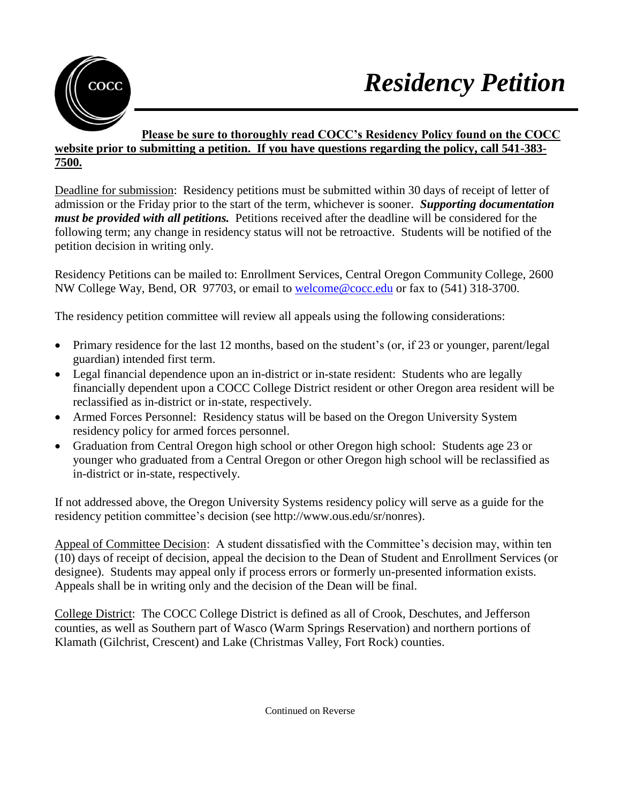

## **Please be sure to thoroughly read COCC's Residency Policy found on the COCC website prior to submitting a petition. If you have questions regarding the policy, call 541-383- 7500.**

Deadline for submission: Residency petitions must be submitted within 30 days of receipt of letter of admission or the Friday prior to the start of the term, whichever is sooner. *Supporting documentation must be provided with all petitions.* Petitions received after the deadline will be considered for the following term; any change in residency status will not be retroactive. Students will be notified of the petition decision in writing only.

Residency Petitions can be mailed to: Enrollment Services, Central Oregon Community College, 2600 NW College Way, Bend, OR 97703, or email to welcome@cocc.edu or fax to (541) 318-3700.

The residency petition committee will review all appeals using the following considerations:

- Primary residence for the last 12 months, based on the student's (or, if 23 or younger, parent/legal guardian) intended first term.
- Legal financial dependence upon an in-district or in-state resident: Students who are legally financially dependent upon a COCC College District resident or other Oregon area resident will be reclassified as in-district or in-state, respectively.
- Armed Forces Personnel: Residency status will be based on the Oregon University System residency policy for armed forces personnel.
- Graduation from Central Oregon high school or other Oregon high school: Students age 23 or younger who graduated from a Central Oregon or other Oregon high school will be reclassified as in-district or in-state, respectively.

If not addressed above, the Oregon University Systems residency policy will serve as a guide for the residency petition committee's decision (see http://www.ous.edu/sr/nonres).

Appeal of Committee Decision: A student dissatisfied with the Committee's decision may, within ten (10) days of receipt of decision, appeal the decision to the Dean of Student and Enrollment Services (or designee). Students may appeal only if process errors or formerly un-presented information exists. Appeals shall be in writing only and the decision of the Dean will be final.

College District: The COCC College District is defined as all of Crook, Deschutes, and Jefferson counties, as well as Southern part of Wasco (Warm Springs Reservation) and northern portions of Klamath (Gilchrist, Crescent) and Lake (Christmas Valley, Fort Rock) counties.